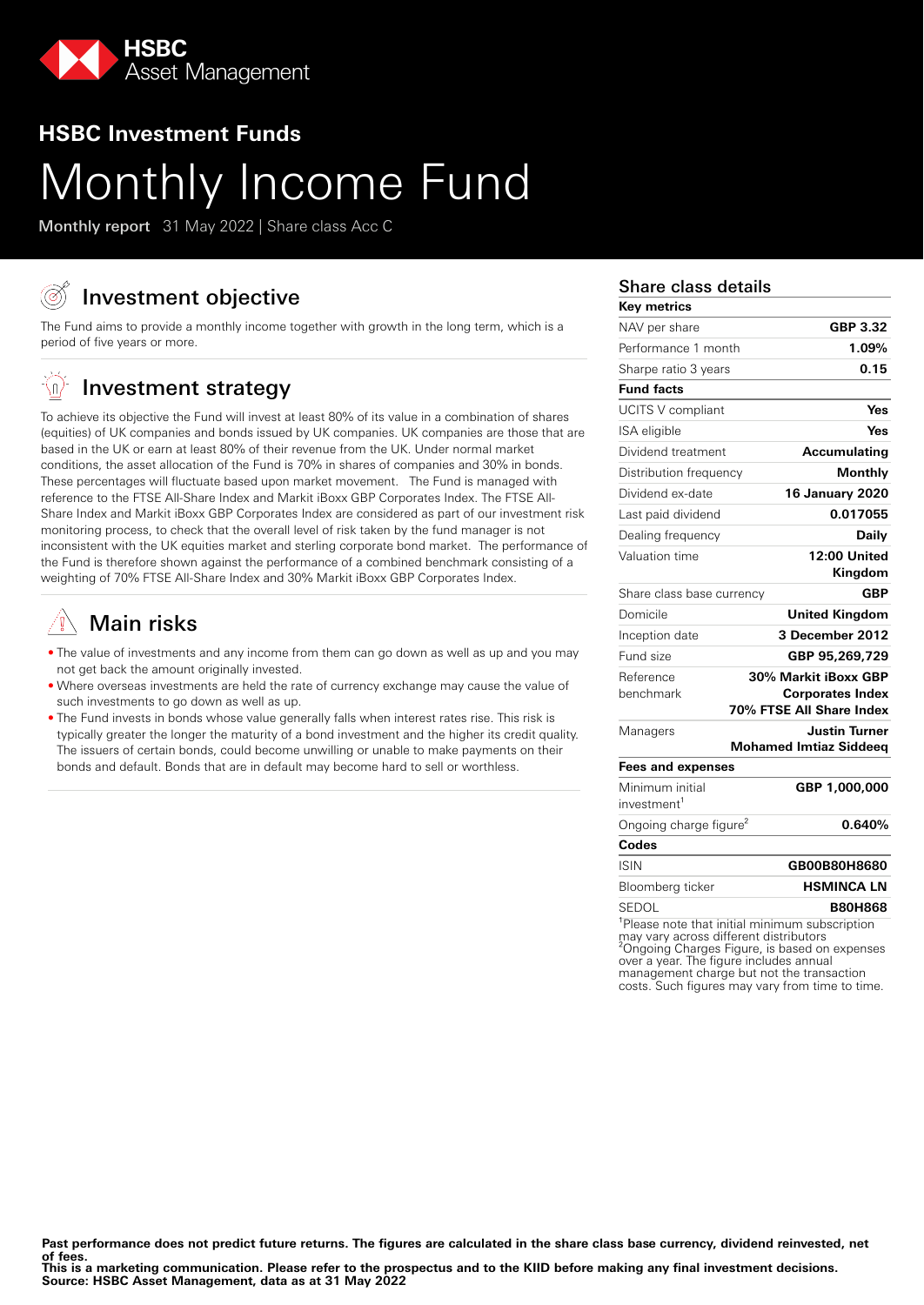

### **HSBC Investment Funds**

# Monthly Income Fund

Monthly report 31 May 2022 | Share class Acc C

# Investment objective

The Fund aims to provide a monthly income together with growth in the long term, which is a period of five years or more.

#### '∖n, Investment strategy

To achieve its objective the Fund will invest at least 80% of its value in a combination of shares (equities) of UK companies and bonds issued by UK companies. UK companies are those that are based in the UK or earn at least 80% of their revenue from the UK. Under normal market conditions, the asset allocation of the Fund is 70% in shares of companies and 30% in bonds. These percentages will fluctuate based upon market movement. The Fund is managed with reference to the FTSE All-Share Index and Markit iBoxx GBP Corporates Index. The FTSE All-Share Index and Markit iBoxx GBP Corporates Index are considered as part of our investment risk monitoring process, to check that the overall level of risk taken by the fund manager is not inconsistent with the UK equities market and sterling corporate bond market. The performance of the Fund is therefore shown against the performance of a combined benchmark consisting of a weighting of 70% FTSE All-Share Index and 30% Markit iBoxx GBP Corporates Index.

# Main risks

- The value of investments and any income from them can go down as well as up and you may not get back the amount originally invested.
- Where overseas investments are held the rate of currency exchange may cause the value of such investments to go down as well as up.
- The Fund invests in bonds whose value generally falls when interest rates rise. This risk is typically greater the longer the maturity of a bond investment and the higher its credit quality. The issuers of certain bonds, could become unwilling or unable to make payments on their bonds and default. Bonds that are in default may become hard to sell or worthless.

#### Share class details

| Key metrics                        |                                                       |
|------------------------------------|-------------------------------------------------------|
| NAV per share                      | GBP 3.32                                              |
| Performance 1 month                | 1.09%                                                 |
| Sharpe ratio 3 years               | 0.15                                                  |
| <b>Fund facts</b>                  |                                                       |
| <b>UCITS V compliant</b>           | Yes                                                   |
| ISA eligible                       | Yes                                                   |
| Dividend treatment                 | <b>Accumulating</b>                                   |
| Distribution frequency             | Monthly                                               |
| Dividend ex-date                   | <b>16 January 2020</b>                                |
| Last paid dividend                 | 0.017055                                              |
| Dealing frequency                  | Daily                                                 |
| Valuation time                     | 12:00 United                                          |
|                                    | Kingdom                                               |
| Share class base currency          | <b>GBP</b>                                            |
| Domicile                           | <b>United Kingdom</b>                                 |
| Inception date                     | 3 December 2012                                       |
| Fund size                          | GBP 95,269,729                                        |
| Reference                          | 30% Markit iBoxx GBP                                  |
| benchmark                          | <b>Corporates Index</b><br>70% FTSE All Share Index   |
|                                    |                                                       |
| Managers                           | <b>Justin Turner</b><br><b>Mohamed Imtiaz Siddeeq</b> |
| <b>Fees and expenses</b>           |                                                       |
| Minimum initial                    | GBP 1,000,000                                         |
| investment <sup>1</sup>            |                                                       |
| Ongoing charge figure <sup>2</sup> | 0.640%                                                |
| Codes                              |                                                       |
| <b>ISIN</b>                        | GB00B80H8680                                          |
| Bloomberg ticker                   | HSMINCA LN                                            |
| SEDOL                              | <b>B80H868</b>                                        |
|                                    | Please note that initial minimum subscription         |

Please note that initial minimum subscription may vary across different distributors ²Ongoing Charges Figure, is based on expenses over a year. The figure includes annual management charge but not the transaction costs. Such figures may vary from time to time.

Past performance does not predict future returns. The figures are calculated in the share class base currency, dividend reinvested, net **of fees.**

**This is a marketing communication. Please refer to the prospectus and to the KIID before making any final investment decisions. Source: HSBC Asset Management, data as at 31 May 2022**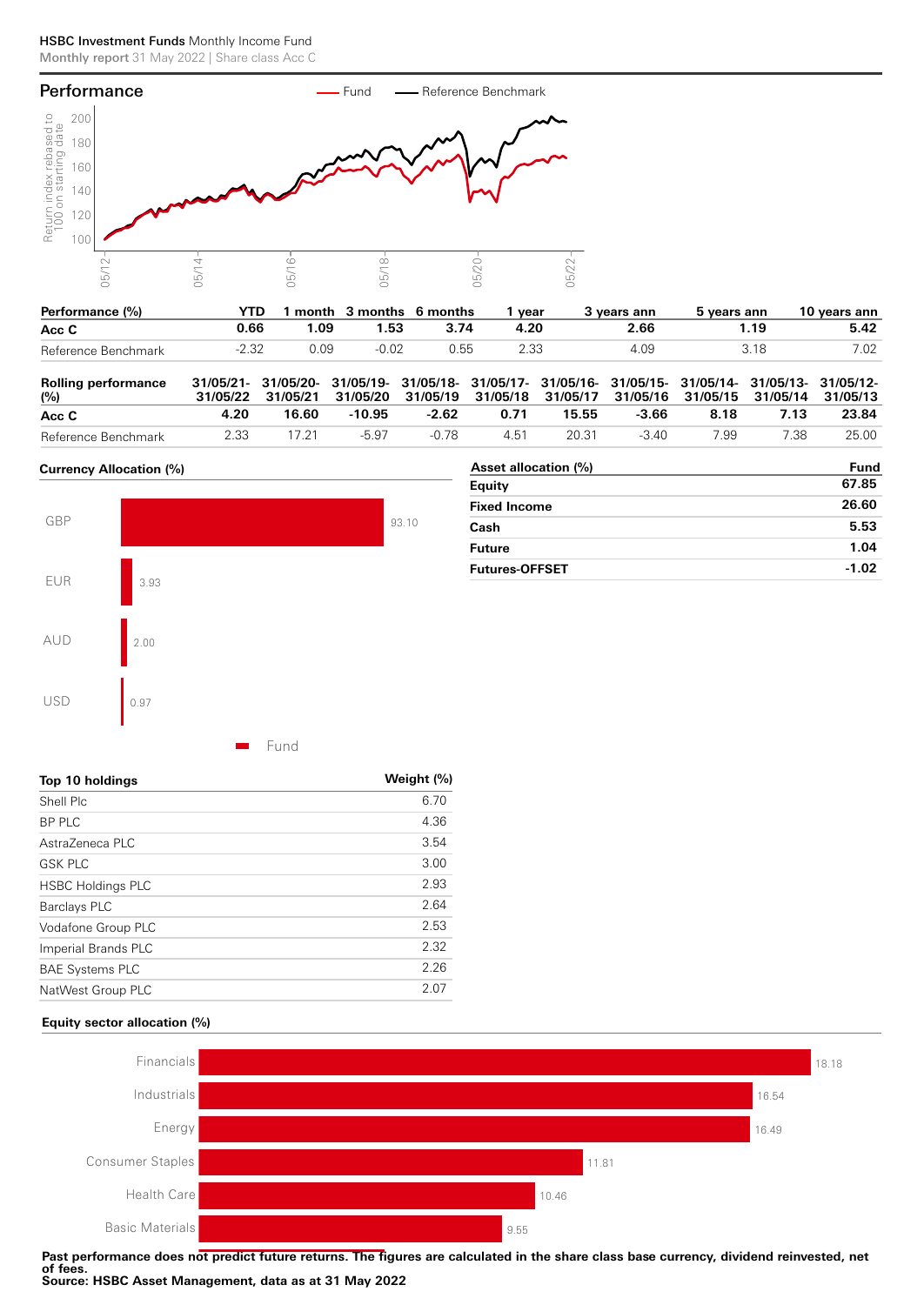#### HSBC Investment Funds Monthly Income Fund Monthly report 31 May 2022 | Share class Acc C



| Performance (%)     | YTD. |      |         | 1 month 3 months 6 months | vear | 3 vears ann | 5 vears ann | 10 years ann |
|---------------------|------|------|---------|---------------------------|------|-------------|-------------|--------------|
| Acc C               | J.66 | 1.09 | 1.53    | 3.74                      | 4.20 | 2.66        | ∣.19        | 5.42         |
| Reference Benchmark |      | 0.09 | $-0.02$ | 0.55                      | 2.33 | 4.09        | 3 1 X       | 7.02         |

| <b>Rolling performance</b><br>$(\%)$ |      |       | 31/05/21- 31/05/20- 31/05/19- 31/05/18- 31/05/17- 31/05/16- 31/05/15- 31/05/14- 31/05/13- 31/05/12-<br>31/05/22 31/05/21 31/05/20 31/05/19 31/05/18 31/05/17 31/05/16 31/05/15 31/05/14 31/05/13 |         |      |       |       |      |      |       |
|--------------------------------------|------|-------|--------------------------------------------------------------------------------------------------------------------------------------------------------------------------------------------------|---------|------|-------|-------|------|------|-------|
| Acc C                                | 4.20 | 16.60 | -10.95                                                                                                                                                                                           | $-2.62$ | 0.71 | 15.55 | -3.66 | 8.18 | 7.13 | 23.84 |
| Reference Benchmark                  | 2.33 | 17 21 | $-5.97$                                                                                                                                                                                          | -0.78   | 451  | 20.31 | -3 40 | 7.99 | 7.38 | 25.00 |

#### **Currency Allocation (%)**



| Asset allocation (%)  | Fund    |
|-----------------------|---------|
| Equity                | 67.85   |
| <b>Fixed Income</b>   | 26.60   |
| Cash                  | 5.53    |
| <b>Future</b>         | 1.04    |
| <b>Futures-OFFSET</b> | $-1.02$ |

Fund

| Top 10 holdings          | Weight (%) |
|--------------------------|------------|
| Shell Plc                | 6.70       |
| <b>BP PLC</b>            | 4.36       |
| AstraZeneca PLC          | 3.54       |
| <b>GSK PLC</b>           | 3.00       |
| <b>HSBC Holdings PLC</b> | 2.93       |
| <b>Barclays PLC</b>      | 2.64       |
| Vodafone Group PLC       | 2.53       |
| Imperial Brands PLC      | 2.32       |
| <b>BAE Systems PLC</b>   | 2.26       |
| NatWest Group PLC        | 2.07       |

#### **Equity sector allocation (%)**



Past performance does not predict future returns. The figures are calculated in the share class base currency, dividend reinvested, net<br>ef face **of fees. Source: HSBC Asset Management, data as at 31 May 2022**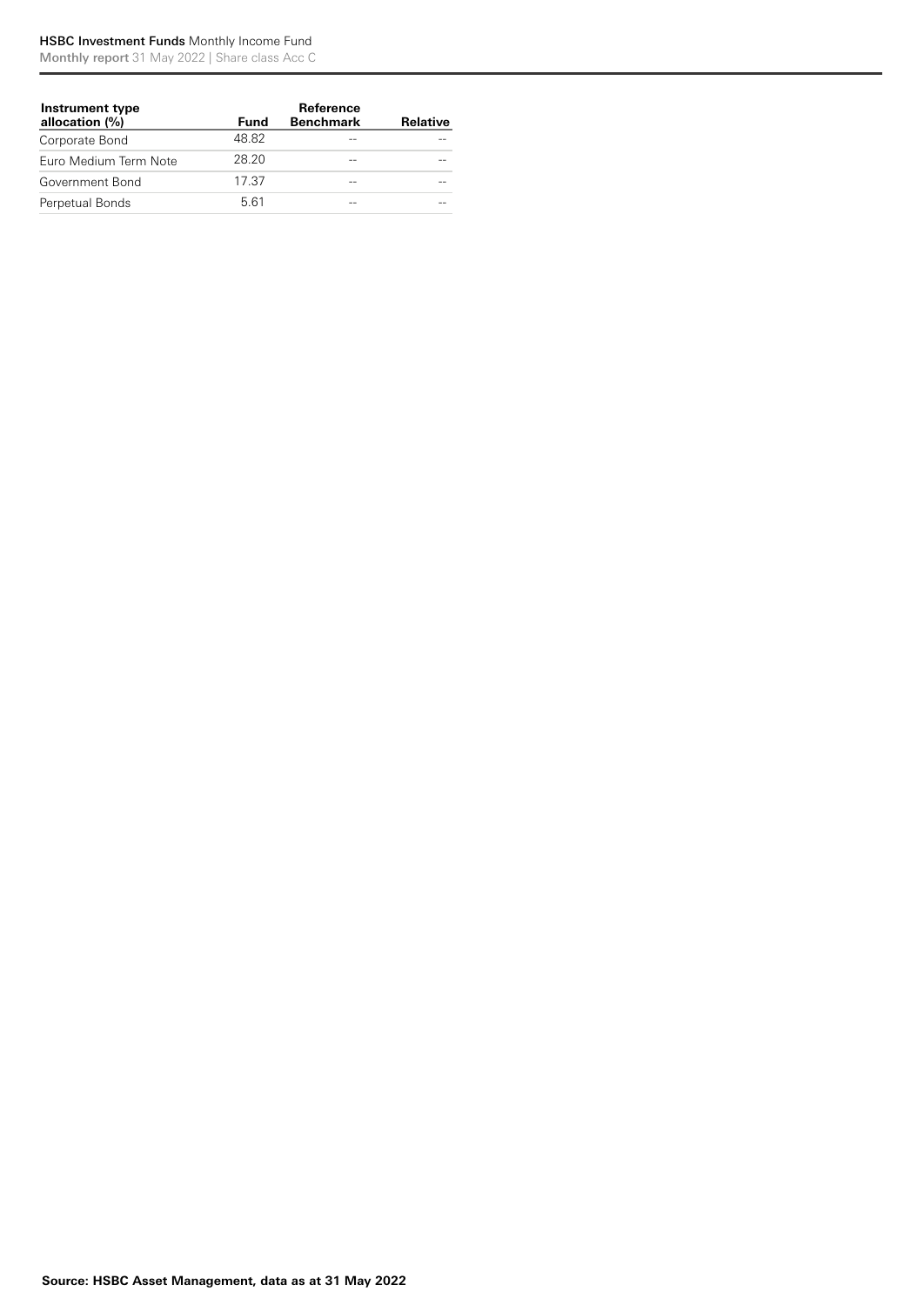#### HSBC Investment Funds Monthly Income Fund

Monthly report 31 May 2022 | Share class Acc C

| Instrument type<br>allocation (%) | Fund  | Reference<br><b>Benchmark</b> | <b>Relative</b> |
|-----------------------------------|-------|-------------------------------|-----------------|
| Corporate Bond                    | 48.82 |                               |                 |
| Euro Medium Term Note             | 28.20 |                               |                 |
| Government Bond                   | 17.37 | $- -$                         |                 |
| Perpetual Bonds                   | 561   | $-$                           |                 |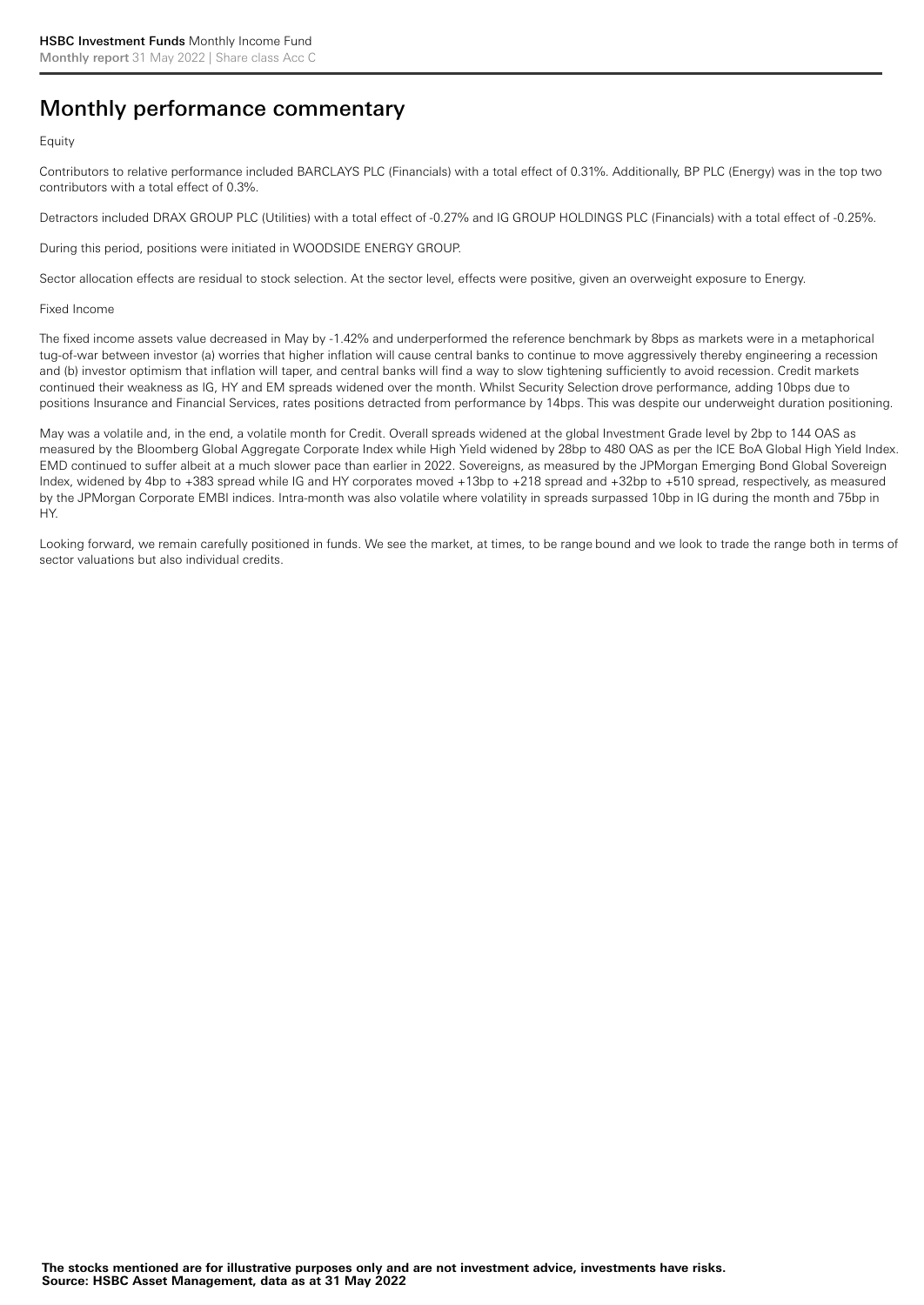## Monthly performance commentary

#### Equity

Contributors to relative performance included BARCLAYS PLC (Financials) with a total effect of 0.31%. Additionally, BP PLC (Energy) was in the top two contributors with a total effect of 0.3%.

Detractors included DRAX GROUP PLC (Utilities) with a total effect of -0.27% and IG GROUP HOLDINGS PLC (Financials) with a total effect of -0.25%.

During this period, positions were initiated in WOODSIDE ENERGY GROUP.

Sector allocation effects are residual to stock selection. At the sector level, effects were positive, given an overweight exposure to Energy.

#### Fixed Income

The fixed income assets value decreased in May by -1.42% and underperformed the reference benchmark by 8bps as markets were in a metaphorical tug-of-war between investor (a) worries that higher inflation will cause central banks to continue to move aggressively thereby engineering a recession and (b) investor optimism that inflation will taper, and central banks will find a way to slow tightening sufficiently to avoid recession. Credit markets continued their weakness as IG, HY and EM spreads widened over the month. Whilst Security Selection drove performance, adding 10bps due to positions Insurance and Financial Services, rates positions detracted from performance by 14bps. This was despite our underweight duration positioning.

May was a volatile and, in the end, a volatile month for Credit. Overall spreads widened at the global Investment Grade level by 2bp to 144 OAS as measured by the Bloomberg Global Aggregate Corporate Index while High Yield widened by 28bp to 480 OAS as per the ICE BoA Global High Yield Index. EMD continued to suffer albeit at a much slower pace than earlier in 2022. Sovereigns, as measured by the JPMorgan Emerging Bond Global Sovereign Index, widened by 4bp to +383 spread while IG and HY corporates moved +13bp to +218 spread and +32bp to +510 spread, respectively, as measured by the JPMorgan Corporate EMBI indices. Intra-month was also volatile where volatility in spreads surpassed 10bp in IG during the month and 75bp in HY.

Looking forward, we remain carefully positioned in funds. We see the market, at times, to be range bound and we look to trade the range both in terms of sector valuations but also individual credits.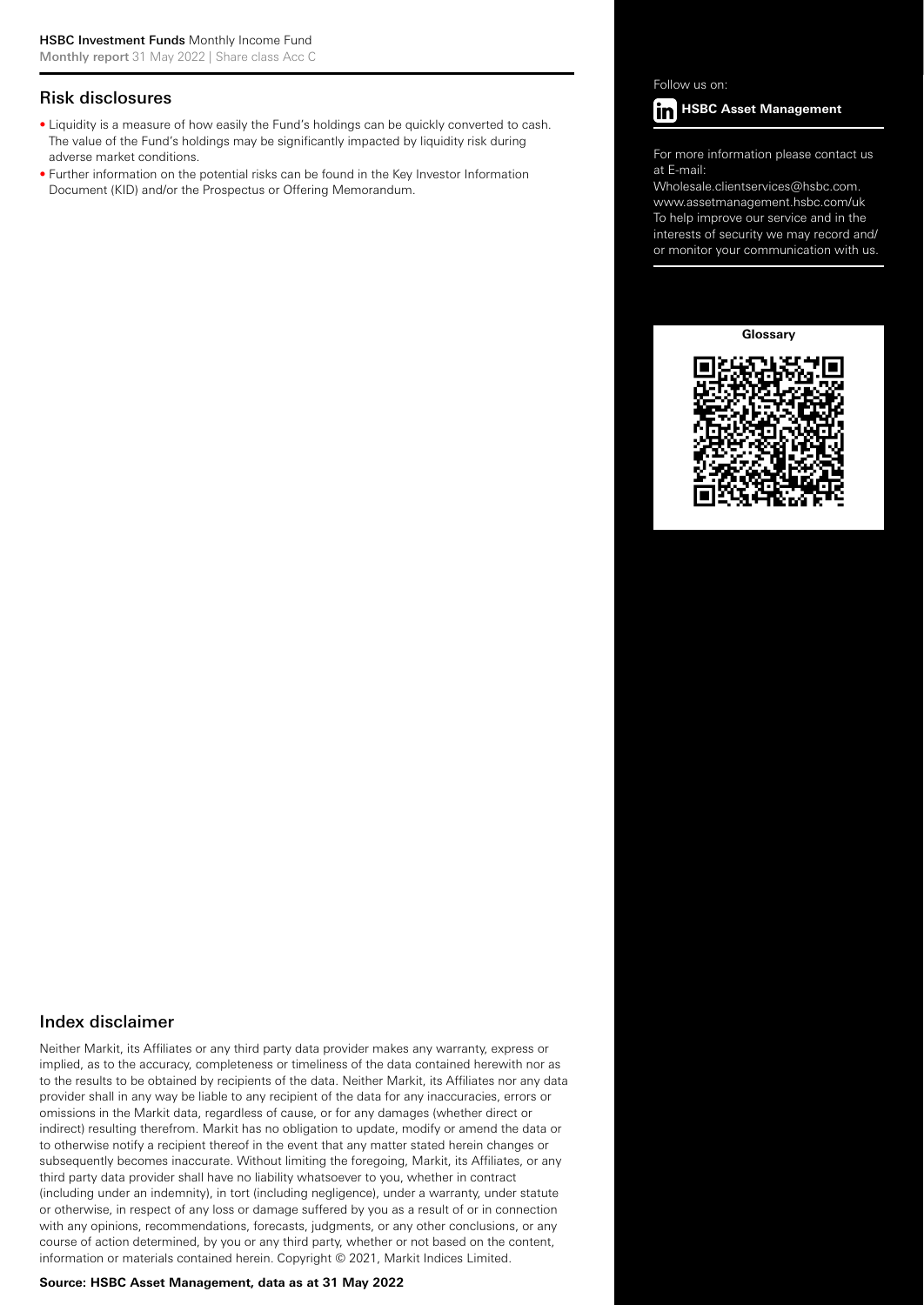#### Risk disclosures

- Liquidity is a measure of how easily the Fund's holdings can be quickly converted to cash. The value of the Fund's holdings may be significantly impacted by liquidity risk during adverse market conditions.
- Further information on the potential risks can be found in the Key Investor Information Document (KID) and/or the Prospectus or Offering Memorandum.

Follow us on:



For more information please contact us at E-mail:

Wholesale.clientservices@hsbc.com. www.assetmanagement.hsbc.com/uk To help improve our service and in the interests of security we may record and/ or monitor your communication with us.





#### Index disclaimer

Neither Markit, its Affiliates or any third party data provider makes any warranty, express or implied, as to the accuracy, completeness or timeliness of the data contained herewith nor as to the results to be obtained by recipients of the data. Neither Markit, its Affiliates nor any data provider shall in any way be liable to any recipient of the data for any inaccuracies, errors or omissions in the Markit data, regardless of cause, or for any damages (whether direct or indirect) resulting therefrom. Markit has no obligation to update, modify or amend the data or to otherwise notify a recipient thereof in the event that any matter stated herein changes or subsequently becomes inaccurate. Without limiting the foregoing, Markit, its Affiliates, or any third party data provider shall have no liability whatsoever to you, whether in contract (including under an indemnity), in tort (including negligence), under a warranty, under statute or otherwise, in respect of any loss or damage suffered by you as a result of or in connection with any opinions, recommendations, forecasts, judgments, or any other conclusions, or any course of action determined, by you or any third party, whether or not based on the content, information or materials contained herein. Copyright © 2021, Markit Indices Limited.

#### **Source: HSBC Asset Management, data as at 31 May 2022**